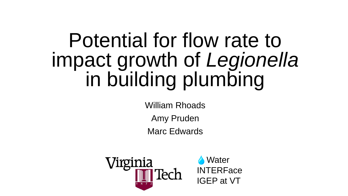# Potential for flow rate to impact growth of *Legionella* in building plumbing

William Rhoads

Amy Pruden

Marc Edwards



**Water INTERFace** IGEP at VT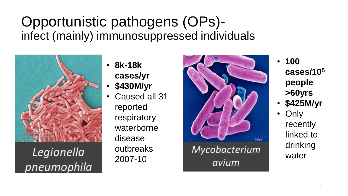#### Opportunistic pathogens (OPs) infect (mainly) immunosuppressed individuals



Legionella pneumophila

- **8k-18k cases/yr**
- **\$430M/yr**
	- Caused all 31 reported respiratory waterborne disease outbreaks 2007-10



avium

- **100 cases/10<sup>5</sup> people >60yrs**
- **\$425M/yr**
	- **Only** recently linked to drinking water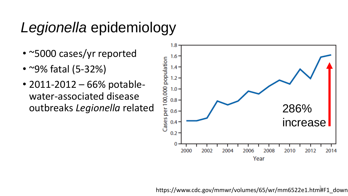### *Legionella* epidemiology

- ~5000 cases/yr reported
- ~9% fatal (5-32%)
- 2011-2012 66% potablewater-associated disease



https://www.cdc.gov/mmwr/volumes/65/wr/mm6522e1.htm#F1\_down <sup>3</sup>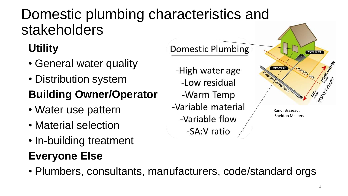### Domestic plumbing characteristics and stakeholders

#### **Utility**

- General water quality
- Distribution system

#### **Building Owner/Operator**

- Water use pattern
- Material selection
- In-building treatment

#### **Everyone Else**

**Domestic Plumbing WATER METER** -High water age SERVICE PIPE and WATER MAIN -Low residual -Warm Temp -Variable material Randi Brazeau, Sheldon Masters -Variable flow -SA:V ratio

• Plumbers, consultants, manufacturers, code/standard orgs

HOMMED MA

ESSO MSBIRTH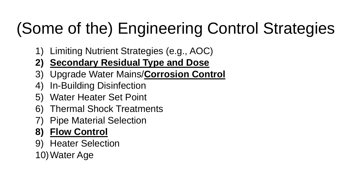# (Some of the) Engineering Control Strategies

- 1) Limiting Nutrient Strategies (e.g., AOC)
- **2) Secondary Residual Type and Dose**
- 3) Upgrade Water Mains/**Corrosion Control**
- 4) In-Building Disinfection
- 5) Water Heater Set Point
- 6) Thermal Shock Treatments
- **Pipe Material Selection**

#### **8) Flow Control**

- 9) Heater Selection
- 10)Water Age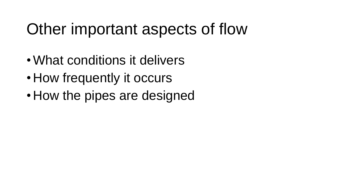## Other important aspects of flow

- •What conditions it delivers
- How frequently it occurs
- How the pipes are designed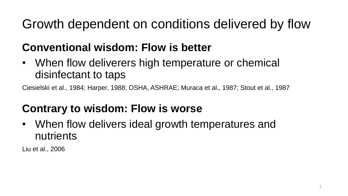#### Growth dependent on conditions delivered by flow

#### **Conventional wisdom: Flow is better**

• When flow deliverers high temperature or chemical disinfectant to taps

Ciesielski et al., 1984; Harper, 1988; OSHA, ASHRAE; Muraca et al., 1987; Stout et al., 1987

#### **Contrary to wisdom: Flow is worse**

• When flow delivers ideal growth temperatures and nutrients

Liu et al., 2006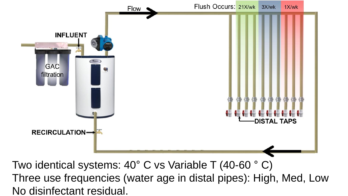

Three use frequencies (water age in distal pipes): High, Med, Low No disinfectant residual.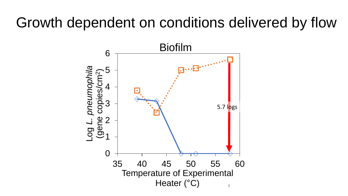#### Growth dependent on conditions delivered by flow

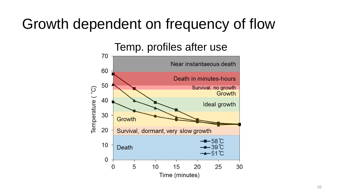### Growth dependent on frequency of flow

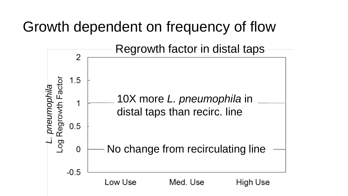### Growth dependent on frequency of flow

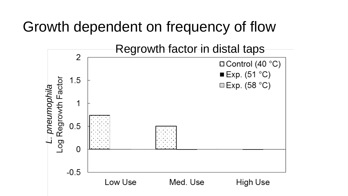#### Growth dependent on frequency of flow

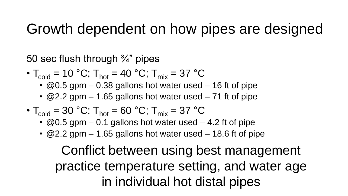#### Growth dependent on how pipes are designed

50 sec flush through ¾" pipes

- $T_{\text{cold}} = 10 \text{ °C}$ ;  $T_{\text{hot}} = 40 \text{ °C}$ ;  $T_{\text{mix}} = 37 \text{ °C}$ 
	- $\cdot$  @0.5 gpm 0.38 gallons hot water used 16 ft of pipe
	- $@2.2$  gpm 1.65 gallons hot water used 71 ft of pipe
- $T_{\text{cold}} = 30 \text{ °C}$ ;  $T_{\text{hot}} = 60 \text{ °C}$ ;  $T_{\text{mix}} = 37 \text{ °C}$ 
	- $@0.5$  gpm 0.1 gallons hot water used 4.2 ft of pipe
	- $\cdot$  @2.2 gpm 1.65 gallons hot water used 18.6 ft of pipe

Conflict between using best management practice temperature setting, and water age in individual hot distal pipes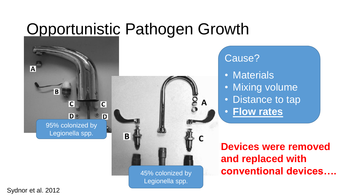### Opportunistic Pathogen Growth



45% colonized by Legionella spp.

#### Cause?

- Materials
- Mixing volume
- Distance to tap
- **Flow rates**

**Devices were removed and replaced with conventional devices….**

Sydnor et al. 2012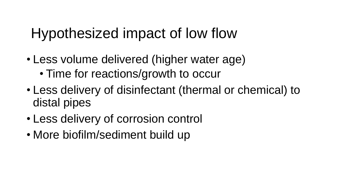### Hypothesized impact of low flow

- Less volume delivered (higher water age) • Time for reactions/growth to occur
- Less delivery of disinfectant (thermal or chemical) to distal pipes
- Less delivery of corrosion control
- More biofilm/sediment build up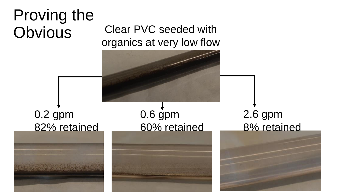# Proving the **Obvious** 0.2 gpm 82% retained 0.6 gpm 60% retained 2.6 gpm 8% retained Clear PVC seeded with organics at very low flow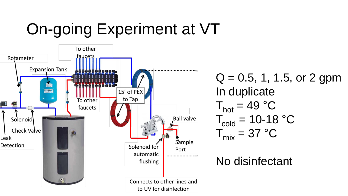# On-going Experiment at VT



 $Q = 0.5, 1, 1.5,$  or 2 gpm In duplicate  $T_{hot} = 49 °C$  $T_{\text{cold}} = 10-18$  °C  $T_{mix} = 37 °C$ 

#### No disinfectant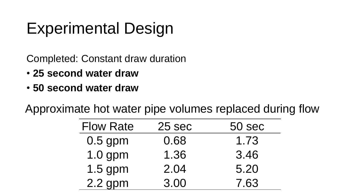# Experimental Design

Completed: Constant draw duration

- **25 second water draw**
- **50 second water draw**

Approximate hot water pipe volumes replaced during flow

| <b>Flow Rate</b> | 25 sec | 50 sec |
|------------------|--------|--------|
| $0.5$ gpm        | 0.68   | 1.73   |
| 1.0 gpm          | 1.36   | 3.46   |
| 1.5 gpm          | 2.04   | 5.20   |
| $2.2$ gpm        | 3.00   | 7.63   |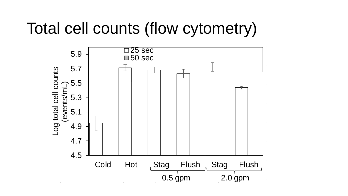# Total cell counts (flow cytometry)

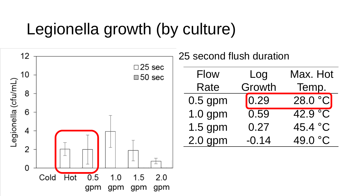## Legionella growth (by culture)

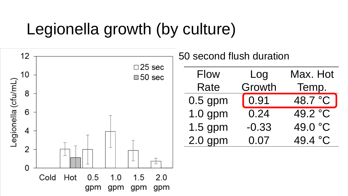## Legionella growth (by culture)

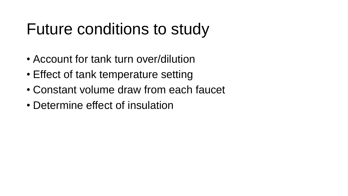### Future conditions to study

- Account for tank turn over/dilution
- Effect of tank temperature setting
- Constant volume draw from each faucet
- Determine effect of insulation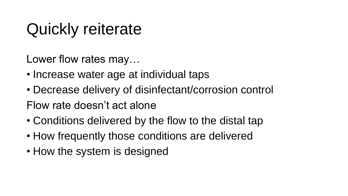## Quickly reiterate

Lower flow rates may…

- Increase water age at individual taps
- Decrease delivery of disinfectant/corrosion control
- Flow rate doesn't act alone
- Conditions delivered by the flow to the distal tap
- How frequently those conditions are delivered
- How the system is designed